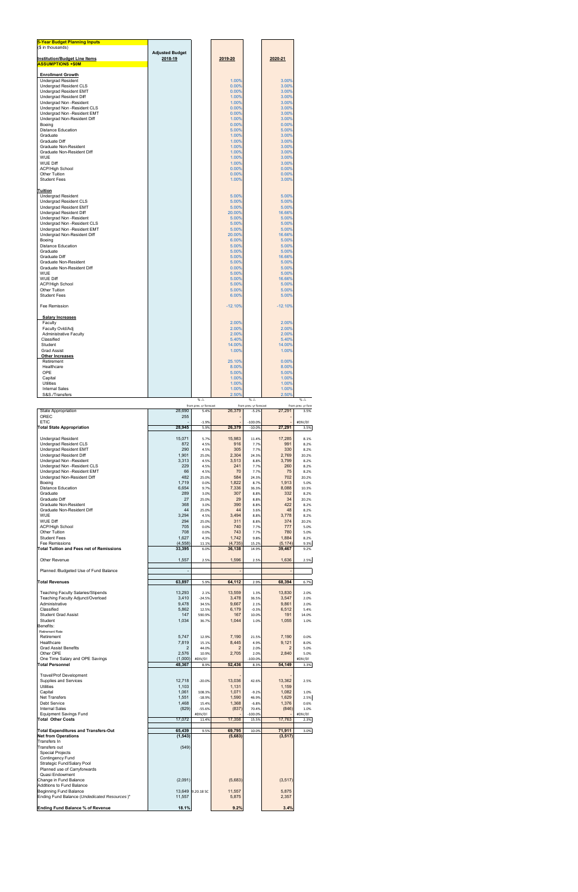| <b>5-Year Budget Planning Inputs</b><br>(\$ in thousands)                                                                                                                                                                                                                                                                                                                                                                                                                                                                    |                                                                                                                                                         |                                                                                                                                                                   |                                                                                                                                                                                        |                                                                                                                                                                      |                                                                                                                                                                                          |                                                                                                                                                                   |
|------------------------------------------------------------------------------------------------------------------------------------------------------------------------------------------------------------------------------------------------------------------------------------------------------------------------------------------------------------------------------------------------------------------------------------------------------------------------------------------------------------------------------|---------------------------------------------------------------------------------------------------------------------------------------------------------|-------------------------------------------------------------------------------------------------------------------------------------------------------------------|----------------------------------------------------------------------------------------------------------------------------------------------------------------------------------------|----------------------------------------------------------------------------------------------------------------------------------------------------------------------|------------------------------------------------------------------------------------------------------------------------------------------------------------------------------------------|-------------------------------------------------------------------------------------------------------------------------------------------------------------------|
| <b>Institution/Budget Line Items</b>                                                                                                                                                                                                                                                                                                                                                                                                                                                                                         | <b>Adjusted Budget</b><br>2018-19                                                                                                                       |                                                                                                                                                                   | 2019-20                                                                                                                                                                                |                                                                                                                                                                      | 2020-21                                                                                                                                                                                  |                                                                                                                                                                   |
| <b>ASSUMPTIONS +\$0M</b><br><b>Enrollment Growth</b><br>Undergrad Resident<br>Undergrad Resident CLS<br>Undergrad Resident EMT<br>Undergrad Resident Diff<br>Undergrad Non -Resident<br>Undergrad Non -Resident CLS<br>Undergrad Non -Resident EMT<br>Undergrad Non-Resident Diff<br>Boeing<br><b>Distance Education</b><br>Graduate<br>Graduate Diff<br>Graduate Non-Resident<br>Graduate Non-Resident Diff<br><b>WUE</b><br><b>WUE Diff</b><br><b>ACP/High School</b><br>Other Tuition<br><b>Student Fees</b>              |                                                                                                                                                         |                                                                                                                                                                   | 1.00%<br>0.00%<br>0.00%<br>1.00%<br>1.00%<br>0.00%<br>0.00%<br>1.00%<br>0.00%<br>5.00%<br>1.00%<br>1.00%<br>1.00%<br>1.00%<br>1.00%<br>1.00%<br>0.00%<br>0.00%<br>1.00%                |                                                                                                                                                                      | 3.00%<br>3.00%<br>3.00%<br>3.00%<br>3.00%<br>3.00%<br>3.00%<br>3.00%<br>0.00%<br>5.00%<br>3.00%<br>3.00%<br>3.00%<br>3.00%<br>3.00%<br>3.00%<br>0.00%<br>0.00%<br>3.00%                  |                                                                                                                                                                   |
| Tuition<br><b>Undergrad Resident</b><br>Undergrad Resident CLS<br>Undergrad Resident EMT<br>Undergrad Resident Diff<br>Undergrad Non -Resident<br>Undergrad Non -Resident CLS<br>Undergrad Non -Resident EMT<br>Undergrad Non-Resident Diff<br>Boeing<br><b>Distance Education</b><br>Graduate<br>Graduate Diff<br>Graduate Non-Resident<br>Graduate Non-Resident Diff<br><b>WUE</b><br>WUE Diff<br><b>ACP/High School</b><br>Other Tuition<br><b>Student Fees</b><br>Fee Remission                                          |                                                                                                                                                         |                                                                                                                                                                   | 5.00%<br>5.00%<br>5.00%<br>20.00%<br>5.00%<br>5.00%<br>5.00%<br>20.00%<br>6.00%<br>5.00%<br>5.00%<br>5.00%<br>5.00%<br>0.00%<br>5.00%<br>5.00%<br>5.00%<br>5.00%<br>6.00%<br>$-12.10%$ |                                                                                                                                                                      | 5.00%<br>5.00%<br>5.00%<br>16.66%<br>5.00%<br>5.00%<br>5.00%<br>16.66%<br>5.00%<br>5.00%<br>5.00%<br>16.66%<br>5.00%<br>5.00%<br>5.00%<br>16.66%<br>5.00%<br>5.00%<br>5.00%<br>$-12.10%$ |                                                                                                                                                                   |
| <b>Salary Increases</b><br>Faculty<br>Faculty Ovld/Adj<br><b>Administrative Faculty</b><br>Classified<br>Student<br><b>Grad Assist</b><br><b>Other Increases</b><br>Retirement<br>Healthcare<br>OPE<br>Capital<br>Utilities<br><b>Internal Sales</b><br>S&S./Transfers                                                                                                                                                                                                                                                       |                                                                                                                                                         | $% \triangle$                                                                                                                                                     | 2.00%<br>2.00%<br>2.00%<br>5.40%<br>14.00%<br>1.00%<br>25.10%<br>8.00%<br>5.00%<br>1.00%<br>1.00%<br>1.00%<br>2.50%                                                                    | % $\triangle$                                                                                                                                                        | 2.00%<br>2.00%<br>2.00%<br>5.40%<br>14.00%<br>1.00%<br>0.00%<br>8.00%<br>5.00%<br>1.00%<br>1.00%<br>1.00%<br>2.50%                                                                       | % $\triangle$                                                                                                                                                     |
| State Appropriation<br>OREC<br><b>ETIC</b>                                                                                                                                                                                                                                                                                                                                                                                                                                                                                   | 28,690<br>255                                                                                                                                           | from prev. yr forecast<br>5.4%<br>$-1.9%$                                                                                                                         | 26,379                                                                                                                                                                                 | from prev. yr forecast<br>$-5.2%$<br>$-100.0%$                                                                                                                       | 27,291<br>÷,                                                                                                                                                                             | from prev. yr fore<br>3.5%<br>#DIV/0!                                                                                                                             |
| <b>Total State Appropriation</b><br><b>Undergrad Resident</b><br>Undergrad Resident CLS<br><b>Undergrad Resident EMT</b><br>Undergrad Resident Diff<br>Undergrad Non -Resident<br>Undergrad Non - Resident CLS<br>Undergrad Non -Resident EMT<br>Undergrad Non-Resident Diff<br>Boeing<br><b>Distance Education</b><br>Graduate<br>Graduate Diff<br>Graduate Non-Resident<br>Graduate Non-Resident Diff<br><b>WUE</b><br><b>WUE Diff</b><br><b>ACP/High School</b><br>Other Tuition<br><b>Student Fees</b><br>Fee Remissions | 28.945<br>15,071<br>872<br>290<br>1,901<br>3,313<br>229<br>66<br>482<br>1,719<br>6,654<br>289<br>27<br>368<br>44<br>3,294<br>294<br>705<br>708<br>1,627 | 5.9%<br>5.7%<br>4.5%<br>4.5%<br>25.0%<br>4.5%<br>4.5%<br>4.5%<br>25.0%<br>0.0%<br>9.7%<br>3.0%<br>25.0%<br>3.0%<br>25.0%<br>4.5%<br>25.0%<br>0.0%<br>0.0%<br>4.3% | 26,379<br>15,983<br>916<br>305<br>2,304<br>3,513<br>241<br>70<br>584<br>1,822<br>7,336<br>307<br>29<br>390<br>44<br>3,494<br>311<br>740<br>743<br>1,742                                | $-10.0%$<br>11.4%<br>7.7%<br>7.7%<br>24.3%<br>8.8%<br>7.7%<br>7.7%<br>24.3%<br>8.7%<br>36.3%<br>8.8%<br>8.8%<br>8.8%<br>3.6%<br>8.8%<br>8.8%<br>7.7%<br>7.7%<br>9.8% | 27,291<br>17,285<br>991<br>330<br>2,769<br>3,799<br>260<br>75<br>702<br>1,913<br>8,088<br>332<br>34<br>422<br>48<br>3,778<br>374<br>777<br>780<br>1,884                                  | 3.5%<br>8.1%<br>8.2%<br>8.2%<br>20.2%<br>8.2%<br>8.2%<br>8.2%<br>20.2%<br>5.0%<br>10.3%<br>8.2%<br>20.2%<br>8.2%<br>8.2%<br>8.2%<br>20.2%<br>5.0%<br>5.0%<br>8.2% |
| <b>Total Tuition and Fees net of Remissions</b>                                                                                                                                                                                                                                                                                                                                                                                                                                                                              | (4, 558)<br>33,395                                                                                                                                      | 11.1%<br>6.0%                                                                                                                                                     | (4, 735)<br>36,138                                                                                                                                                                     | 15.2%<br>14.9%                                                                                                                                                       | (5, 174)<br>39,467                                                                                                                                                                       | 9.3%<br>9.2%                                                                                                                                                      |
| Other Revenue<br>Planned /Budgeted Use of Fund Balance                                                                                                                                                                                                                                                                                                                                                                                                                                                                       | 1,557                                                                                                                                                   | 2.5%                                                                                                                                                              | 1,596                                                                                                                                                                                  | 2.5%                                                                                                                                                                 | 1,636                                                                                                                                                                                    | 2.5%                                                                                                                                                              |
| <b>Total Revenues</b><br><b>Teaching Faculty Salaries/Stipends</b><br>Teaching Faculty Adjunct/Overload<br>Administrative<br>Classified<br><b>Student Grad Assist</b>                                                                                                                                                                                                                                                                                                                                                        | 63,897<br>13,293<br>3,410<br>9,478<br>5,862<br>147                                                                                                      | 5.9%<br>2.1%<br>$-24.5%$<br>34.5%<br>12.5%<br>590.9%                                                                                                              | 64,112<br>13,559<br>3,478<br>9,667<br>6,179<br>167                                                                                                                                     | 2.9%<br>1.3%<br>36.5%<br>2.1%<br>$-0.3%$<br>10.0%                                                                                                                    | 68,394<br>13,830<br>3,547<br>9,861<br>6,512<br>191                                                                                                                                       | 6.7%<br>2.0%<br>2.0%<br>2.0%<br>5.4%<br>14.0%                                                                                                                     |
| Student<br>Benefits:<br><b>Retirement Rate</b><br>Retirement<br>Healthcare<br><b>Grad Assist Benefits</b><br>Other OPE<br>One Time Salary and OPE Savings<br><b>Total Personnel</b>                                                                                                                                                                                                                                                                                                                                          | 1,034<br>5,747<br>7,819<br>2<br>2.576<br>(1,000)<br>48,367                                                                                              | 36.7%<br>12.9%<br>15.1%<br>44.0%<br>10.9%<br>#DIV/0!<br>8.9%                                                                                                      | 1,044<br>7,190<br>8,445<br>2<br>2,705<br>52,436                                                                                                                                        | 1.0%<br>21.5%<br>4.9%<br>2.0%<br>2.0%<br>$-100.0%$<br>8.3%                                                                                                           | 1,055<br>7,190<br>9,121<br>2<br>2,840<br>54,149                                                                                                                                          | 1.0%<br>0.0%<br>8.0%<br>5.0%<br>5.0%<br>#DIV/0!<br>3.3%                                                                                                           |
| Travel/Prof Development<br>Supplies and Services<br><b>Utilities</b><br>Capital<br>Net Transfers<br>Debt Service<br><b>Internal Sales</b><br><b>Equipment Savings Fund</b><br><b>Total Other Costs</b>                                                                                                                                                                                                                                                                                                                       | 12,718<br>1,103<br>1,061<br>1,551<br>1,468<br>(829)<br>17,072                                                                                           | $-20.0%$<br>108.3%<br>$-18.9%$<br>15.4%<br>$-55.6%$<br>#DIV/0!<br>11.4%                                                                                           | 13,036<br>1,131<br>1,071<br>1,590<br>1,368<br>(837)<br>17,358                                                                                                                          | 42.6%<br>$-9.2%$<br>46.9%<br>$-6.8%$<br>70.4%<br>$-100.0%$<br>15.5%                                                                                                  | 13,362<br>1,159<br>1,082<br>1,629<br>1,376<br>(846)<br>17,763                                                                                                                            | 2.5%<br>1.0%<br>2.5%<br>0.6%<br>1.0%<br>#DIV/0!<br>2.3%                                                                                                           |
| <b>Total Expenditures and Transfers-Out</b><br><b>Net from Operations</b><br>Transfers In<br>Transfers out<br><b>Special Projects</b><br>Contingency Fund<br>Strategic Fund/Salary Pool<br>Planned use of Carryforwards<br>Quasi Endowment<br>Change in Fund Balance                                                                                                                                                                                                                                                         | 65,439<br>(1, 543)<br>(549)<br>(2,091)                                                                                                                  | 9.5%                                                                                                                                                              | 69,795<br>(5,683)<br>(5,683)                                                                                                                                                           | 10.0%                                                                                                                                                                | 71,911<br>(3, 517)<br>(3, 517)                                                                                                                                                           | 3.0%                                                                                                                                                              |
| Additions to Fund Balance<br>Beginning Fund Balance<br>Ending Fund Balance (Undedicated Resources)*<br>Ending Fund Balance % of Revenue                                                                                                                                                                                                                                                                                                                                                                                      | 13,649<br>11,557<br>18.1%                                                                                                                               | 9.20.18 SC                                                                                                                                                        | 11,557<br>5,875<br>9.2%                                                                                                                                                                |                                                                                                                                                                      | 5,875<br>2,357<br>3.4%                                                                                                                                                                   |                                                                                                                                                                   |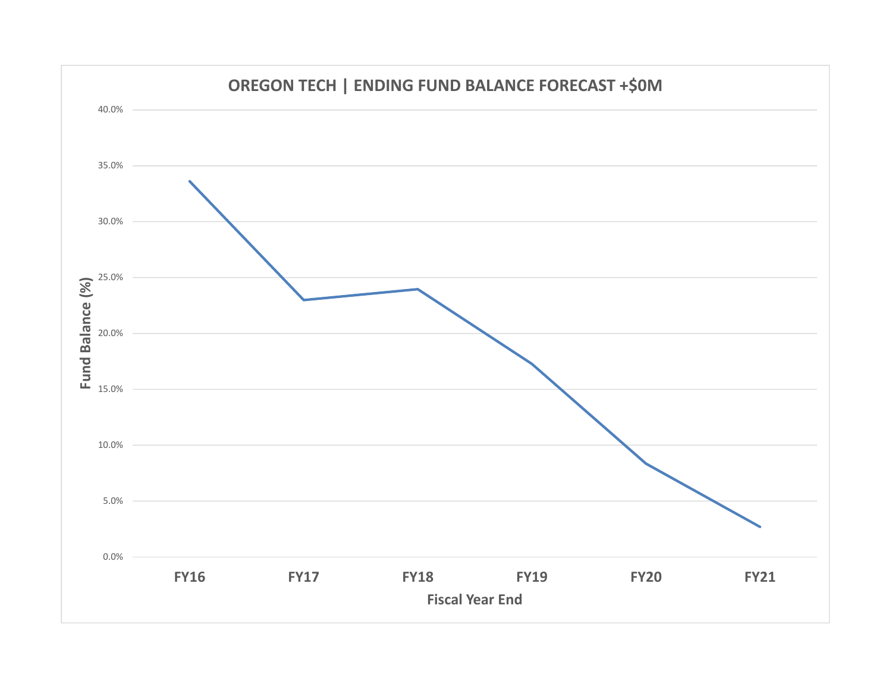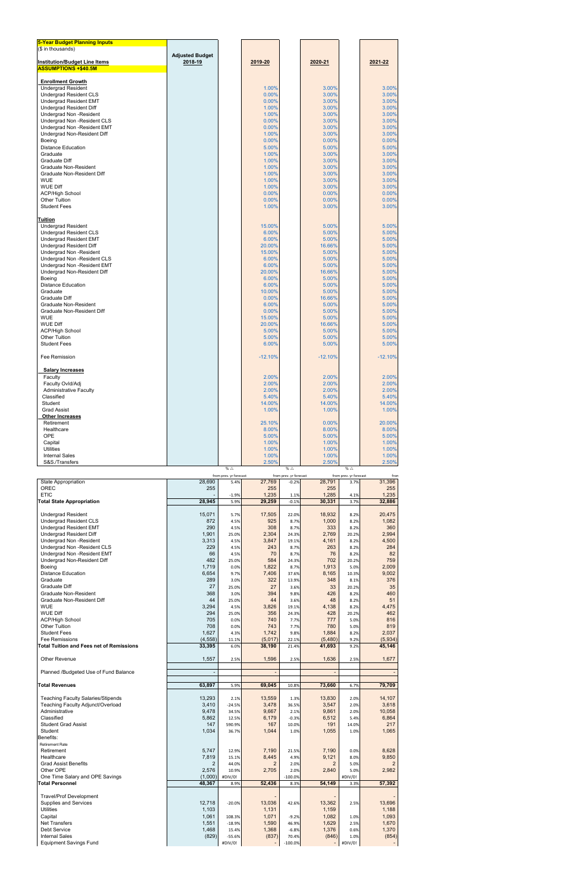| 5-Year Budget Planning Inputs        |                        |                        |           |                        |           |                        |           |
|--------------------------------------|------------------------|------------------------|-----------|------------------------|-----------|------------------------|-----------|
| (\$ in thousands)                    |                        |                        |           |                        |           |                        |           |
|                                      | <b>Adjusted Budget</b> |                        |           |                        |           |                        |           |
| <b>Institution/Budget Line Items</b> | 2018-19                |                        | 2019-20   |                        | 2020-21   |                        | 2021-22   |
| <b>ASSUMPTIONS +\$40.5M</b>          |                        |                        |           |                        |           |                        |           |
|                                      |                        |                        |           |                        |           |                        |           |
| <b>Enrollment Growth</b>             |                        |                        |           |                        |           |                        |           |
| <b>Undergrad Resident</b>            |                        |                        | 1.00%     |                        | 3.00%     |                        | 3.00%     |
| <b>Undergrad Resident CLS</b>        |                        |                        | 0.00%     |                        | 3.00%     |                        | 3.00%     |
| <b>Undergrad Resident EMT</b>        |                        |                        | 0.00%     |                        | 3.00%     |                        | 3.00%     |
| Undergrad Resident Diff              |                        |                        | 1.00%     |                        | 3.00%     |                        | 3.00%     |
| <b>Undergrad Non -Resident</b>       |                        |                        | 1.00%     |                        | 3.00%     |                        | 3.00%     |
| Undergrad Non - Resident CLS         |                        |                        | 0.00%     |                        | 3.00%     |                        | 3.00%     |
|                                      |                        |                        |           |                        |           |                        |           |
| Undergrad Non -Resident EMT          |                        |                        | 0.00%     |                        | 3.00%     |                        | 3.00%     |
| Undergrad Non-Resident Diff          |                        |                        | 1.00%     |                        | 3.00%     |                        | 3.00%     |
| Boeing                               |                        |                        | 0.00%     |                        | 0.00%     |                        | 0.00%     |
| <b>Distance Education</b>            |                        |                        | 5.00%     |                        | 5.00%     |                        | 5.00%     |
| Graduate                             |                        |                        | 1.00%     |                        | 3.00%     |                        | 3.00%     |
| Graduate Diff                        |                        |                        | 1.00%     |                        | 3.00%     |                        | 3.00%     |
| Graduate Non-Resident                |                        |                        | 1.00%     |                        | 3.00%     |                        | 3.00%     |
| Graduate Non-Resident Diff           |                        |                        | 1.00%     |                        | 3.00%     |                        | 3.00%     |
| <b>WUE</b>                           |                        |                        | 1.00%     |                        | 3.00%     |                        | 3.00%     |
| <b>WUE Diff</b>                      |                        |                        | 1.00%     |                        | 3.00%     |                        | 3.00%     |
|                                      |                        |                        |           |                        |           |                        |           |
| <b>ACP/High School</b>               |                        |                        | 0.00%     |                        | 0.00%     |                        | 0.00%     |
| <b>Other Tuition</b>                 |                        |                        | 0.00%     |                        | 0.00%     |                        | 0.00%     |
| <b>Student Fees</b>                  |                        |                        | 1.00%     |                        | 3.00%     |                        | 3.00%     |
|                                      |                        |                        |           |                        |           |                        |           |
| <b>Tuition</b>                       |                        |                        |           |                        |           |                        |           |
| <b>Undergrad Resident</b>            |                        |                        | 15.00%    |                        | 5.00%     |                        | 5.00%     |
| Undergrad Resident CLS               |                        |                        | 6.00%     |                        | 5.00%     |                        | 5.00%     |
| <b>Undergrad Resident EMT</b>        |                        |                        | 6.00%     |                        | 5.00%     |                        | 5.00%     |
| Undergrad Resident Diff              |                        |                        | 20.00%    |                        | 16.66%    |                        | 5.00%     |
|                                      |                        |                        | 15.00%    |                        | 5.00%     |                        | 5.00%     |
| Undergrad Non -Resident              |                        |                        |           |                        |           |                        |           |
| Undergrad Non - Resident CLS         |                        |                        | 6.00%     |                        | 5.00%     |                        | 5.00%     |
| Undergrad Non -Resident EMT          |                        |                        | 6.00%     |                        | 5.00%     |                        | 5.00%     |
| Undergrad Non-Resident Diff          |                        |                        | 20.00%    |                        | 16.66%    |                        | 5.00%     |
| Boeing                               |                        |                        | 6.00%     |                        | 5.00%     |                        | 5.00%     |
| <b>Distance Education</b>            |                        |                        | 6.00%     |                        | 5.00%     |                        | 5.00%     |
| Graduate                             |                        |                        | 10.00%    |                        | 5.00%     |                        | 5.00%     |
| Graduate Diff                        |                        |                        | 0.00%     |                        | 16.66%    |                        | 5.00%     |
| Graduate Non-Resident                |                        |                        | 6.00%     |                        | 5.00%     |                        | 5.00%     |
| Graduate Non-Resident Diff           |                        |                        | 0.00%     |                        | 5.00%     |                        | 5.00%     |
| <b>WUE</b>                           |                        |                        | 15.00%    |                        | 5.00%     |                        | 5.00%     |
|                                      |                        |                        |           |                        |           |                        |           |
| <b>WUE Diff</b>                      |                        |                        | 20.00%    |                        | 16.66%    |                        | 5.00%     |
| <b>ACP/High School</b>               |                        |                        | 5.00%     |                        | 5.00%     |                        | 5.00%     |
| <b>Other Tuition</b>                 |                        |                        | 5.00%     |                        | 5.00%     |                        | 5.00%     |
| <b>Student Fees</b>                  |                        |                        | 6.00%     |                        | 5.00%     |                        | 5.00%     |
|                                      |                        |                        |           |                        |           |                        |           |
| Fee Remission                        |                        |                        | $-12.10%$ |                        | $-12.10%$ |                        | $-12.10%$ |
|                                      |                        |                        |           |                        |           |                        |           |
| <b>Salary Increases</b>              |                        |                        |           |                        |           |                        |           |
| Faculty                              |                        |                        | 2.00%     |                        | 2.00%     |                        | 2.00%     |
| Faculty Ovid/Adj                     |                        |                        | 2.00%     |                        | 2.00%     |                        | 2.00%     |
| <b>Administrative Faculty</b>        |                        |                        | 2.00%     |                        | 2.00%     |                        | 2.00%     |
| Classified                           |                        |                        | 5.40%     |                        | 5.40%     |                        | 5.40%     |
|                                      |                        |                        |           |                        |           |                        |           |
| Student                              |                        |                        | 14.00%    |                        | 14.00%    |                        | 14.00%    |
| <b>Grad Assist</b>                   |                        |                        | 1.00%     |                        | 1.00%     |                        | 1.00%     |
| <b>Other Increases</b>               |                        |                        |           |                        |           |                        |           |
| Retirement                           |                        |                        | 25.10%    |                        | 0.00%     |                        | 20.00%    |
| Healthcare                           |                        |                        | 8.00%     |                        | 8.00%     |                        | 8.00%     |
| <b>OPE</b>                           |                        |                        | 5.00%     |                        | 5.00%     |                        | 5.00%     |
| Capital                              |                        |                        | 1.00%     |                        | 1.00%     |                        | 1.00%     |
| <b>Utilities</b>                     |                        |                        | 1.00%     |                        | 1.00%     |                        | 1.00%     |
| <b>Internal Sales</b>                |                        |                        | 1.00%     |                        | 1.00%     |                        | 1.00%     |
| S&S./Transfers                       |                        |                        | 2.50%     |                        | 2.50%     |                        | 2.50%     |
|                                      |                        | % $\triangle$          |           | % $\triangle$          |           | % $\triangle$          |           |
|                                      |                        |                        |           |                        |           |                        |           |
|                                      |                        | from prev. yr forecast |           | from prev. yr forecast |           | from prev. yr forecast | from      |

|                                                 |                | from prev. yr forecast |                | from prev. yr forecast |                | from prev. yr forecast | fro            |
|-------------------------------------------------|----------------|------------------------|----------------|------------------------|----------------|------------------------|----------------|
| <b>State Appropriation</b>                      | 28,690         | 5.4%                   | 27,769         | $-0.2%$                | 28,791         | 3.7%                   | 31,396         |
| <b>OREC</b>                                     | 255            |                        | 255            |                        | 255            |                        | 255            |
| <b>ETIC</b>                                     |                | $-1.9%$                | 1,235          | 1.1%                   | 1,285          | 4.1%                   | 1,235          |
| <b>Total State Appropriation</b>                | 28,945         | 5.9%                   | 29,259         | $-0.1%$                | 30,331         | 3.7%                   | 32,886         |
|                                                 |                |                        |                |                        |                |                        |                |
| <b>Undergrad Resident</b>                       | 15.071         | 5.7%                   | 17,505         | 22.0%                  | 18,932         | 8.2%                   | 20,475         |
| <b>Undergrad Resident CLS</b>                   | 872            | 4.5%                   | 925            | 8.7%                   | 1,000          | 8.2%                   | 1,082          |
| <b>Undergrad Resident EMT</b>                   | 290            | 4.5%                   | 308            | 8.7%                   | 333            | 8.2%                   | 360            |
| Undergrad Resident Diff                         | 1,901          | 25.0%                  | 2,304          | 24.3%                  | 2,769          | 20.2%                  | 2,994          |
| Undergrad Non -Resident                         | 3,313          | 4.5%                   | 3,847          | 19.1%                  | 4,161          | 8.2%                   | 4,500          |
| Undergrad Non -Resident CLS                     | 229            | 4.5%                   | 243            | 8.7%                   | 263            | 8.2%                   | 284            |
| Undergrad Non -Resident EMT                     | 66             | 4.5%                   | 70             | 8.7%                   | 76             | 8.2%                   | 82             |
| Undergrad Non-Resident Diff                     | 482            | 25.0%                  | 584            | 24.3%                  | 702            | 20.2%                  | 759            |
| <b>Boeing</b>                                   | 1,719          | 0.0%                   | 1,822          | 8.7%                   | 1,913          | 5.0%                   | 2,009          |
| <b>Distance Education</b>                       | 6,654          | 9.7%                   | 7,406          | 37.6%                  | 8,165          | 10.3%                  | 9,002          |
| Graduate                                        | 289            | 3.0%                   | 322            | 13.9%                  | 348            | 8.1%                   | 376            |
| Graduate Diff                                   | 27             | 25.0%                  | 27             |                        | 33             |                        | 35             |
|                                                 | 368            |                        | 394            | 3.6%                   | 426            | 20.2%                  |                |
| Graduate Non-Resident                           | 44             | 3.0%                   |                | 9.8%                   | 48             | 8.2%                   | 460            |
| Graduate Non-Resident Diff                      |                | 25.0%                  | 44             | 3.6%                   |                | 8.2%                   | 51             |
| <b>WUE</b>                                      | 3,294          | 4.5%                   | 3,826          | 19.1%                  | 4,138          | 8.2%                   | 4,475          |
| <b>WUE Diff</b>                                 | 294            | 25.0%                  | 356            | 24.3%                  | 428            | 20.2%                  | 462            |
| <b>ACP/High School</b>                          | 705            | 0.0%                   | 740            | 7.7%                   | 777            | 5.0%                   | 816            |
| <b>Other Tuition</b>                            | 708            | 0.0%                   | 743            | 7.7%                   | 780            | 5.0%                   | 819            |
| <b>Student Fees</b>                             | 1,627          | 4.3%                   | 1,742          | 9.8%                   | 1,884          | 8.2%                   | 2,037          |
| <b>Fee Remissions</b>                           | (4, 558)       | 11.1%                  | (5,017)        | 22.1%                  | (5,480)        | 9.2%                   | (5,934)        |
| <b>Total Tuition and Fees net of Remissions</b> | 33,395         | 6.0%                   | 38,190         | 21.4%                  | 41,693         | 9.2%                   | 45,146         |
|                                                 |                |                        |                |                        |                |                        |                |
| Other Revenue                                   | 1,557          | 2.5%                   | 1,596          | 2.5%                   | 1,636          | 2.5%                   | 1,677          |
|                                                 |                |                        |                |                        |                |                        |                |
| Planned /Budgeted Use of Fund Balance           | $\overline{a}$ |                        |                |                        |                |                        | $\blacksquare$ |
|                                                 |                |                        |                |                        |                |                        |                |
| <b>Total Revenues</b>                           | 63,897         | 5.9%                   | 69,045         | 10.8%                  | 73,660         | 6.7%                   | 79,709         |
|                                                 |                |                        |                |                        |                |                        |                |
| <b>Teaching Faculty Salaries/Stipends</b>       | 13,293         | 2.1%                   | 13,559         | 1.3%                   | 13,830         | 2.0%                   | 14,107         |
| Teaching Faculty Adjunct/Overload               | 3,410          | $-24.5%$               | 3,478          | 36.5%                  | 3,547          | 2.0%                   | 3,618          |
| Administrative                                  | 9,478          | 34.5%                  | 9,667          | 2.1%                   | 9,861          | 2.0%                   | 10,058         |
| Classified                                      | 5,862          | 12.5%                  | 6,179          | $-0.3%$                | 6,512          | 5.4%                   | 6,864          |
| <b>Student Grad Assist</b>                      | 147            | 590.9%                 | 167            | 10.0%                  | 191            | 14.0%                  | 217            |
| Student                                         | 1,034          | 36.7%                  | 1,044          | 1.0%                   | 1,055          | 1.0%                   | 1,065          |
| Benefits:                                       |                |                        |                |                        |                |                        |                |
| <b>Retirement Rate</b>                          |                |                        |                |                        |                |                        |                |
| Retirement                                      | 5,747          | 12.9%                  | 7,190          | 21.5%                  | 7,190          | 0.0%                   | 8,628          |
| Healthcare                                      | 7,819          | 15.1%                  | 8,445          | 4.9%                   | 9,121          | 8.0%                   | 9,850          |
| <b>Grad Assist Benefits</b>                     | $\overline{2}$ | 44.0%                  | $\overline{2}$ | 2.0%                   | $\overline{2}$ | 5.0%                   | $\overline{2}$ |
| Other OPE                                       | 2,576          | 10.9%                  | 2,705          | 2.0%                   | 2,840          | 5.0%                   | 2,982          |
| One Time Salary and OPE Savings                 | (1,000)        | #DIV/0!                |                | $-100.0%$              |                | #DIV/0!                |                |
| <b>Total Personnel</b>                          | 48,367         | 8.9%                   | 52,436         | 8.3%                   | 54,149         | 3.3%                   | 57,392         |
|                                                 |                |                        |                |                        |                |                        |                |
| <b>Travel/Prof Development</b>                  |                |                        |                |                        |                |                        |                |
| <b>Supplies and Services</b>                    | 12,718         |                        | 13,036         |                        | 13,362         |                        | 13,696         |
|                                                 |                | $-20.0%$               |                | 42.6%                  |                | 2.5%                   |                |
| Utilities                                       | 1,103          |                        | 1,131          |                        | 1,159          |                        | 1,188          |
| Capital                                         | 1,061          | 108.3%                 | 1,071          | $-9.2%$                | 1,082          | 1.0%                   | 1,093          |
| <b>Net Transfers</b>                            | 1,551          | $-18.9%$               | 1,590          | 46.9%                  | 1,629          | 2.5%                   | 1,670          |
| <b>Debt Service</b>                             | 1,468          | 15.4%                  | 1,368          | $-6.8%$                | 1,376          | 0.6%                   | 1,370          |
| <b>Internal Sales</b>                           | (829)          | $-55.6%$               | (837)          | 70.4%                  | (846)          | 1.0%                   | (854)          |
| <b>Equipment Savings Fund</b>                   |                | #DIV/0!                |                | $-100.0%$              |                | #DIV/0!                |                |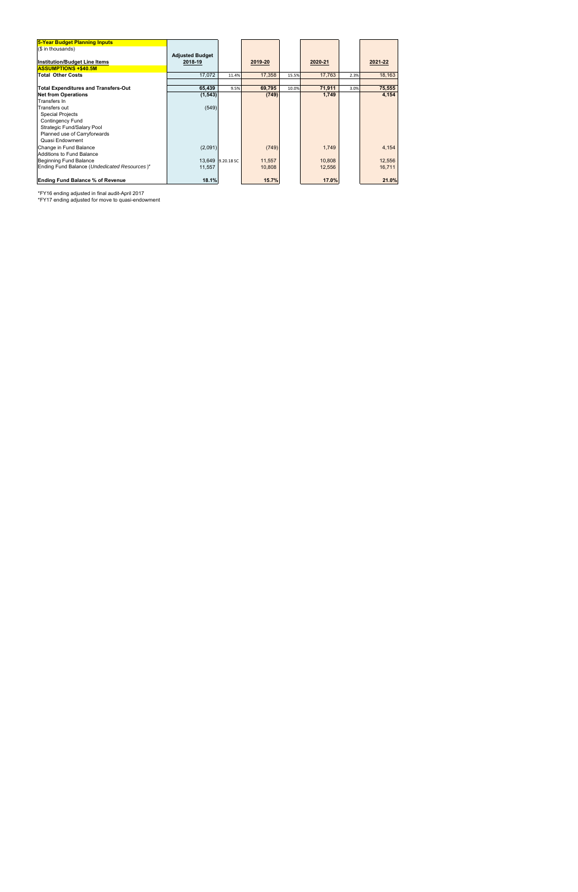| 5-Year Budget Planning Inputs                |                        |                   |         |       |         |      |         |
|----------------------------------------------|------------------------|-------------------|---------|-------|---------|------|---------|
| (\$ in thousands)                            |                        |                   |         |       |         |      |         |
|                                              | <b>Adjusted Budget</b> |                   |         |       |         |      |         |
| <b>Institution/Budget Line Items</b>         | 2018-19                |                   | 2019-20 |       | 2020-21 |      | 2021-22 |
| <b>ASSUMPTIONS +\$40.5M</b>                  |                        |                   |         |       |         |      |         |
| <b>Total Other Costs</b>                     | 17,072                 | 11.4%             | 17,358  | 15.5% | 17,763  | 2.3% | 18,163  |
|                                              |                        |                   |         |       |         |      |         |
| <b>Total Expenditures and Transfers-Out</b>  | 65,439                 | 9.5%              | 69,795  | 10.0% | 71,911  | 3.0% | 75,555  |
| <b>Net from Operations</b>                   | (1, 543)               |                   | (749)   |       | 1,749   |      | 4,154   |
| Transfers In                                 |                        |                   |         |       |         |      |         |
| Transfers out                                | (549)                  |                   |         |       |         |      |         |
| <b>Special Projects</b>                      |                        |                   |         |       |         |      |         |
| <b>Contingency Fund</b>                      |                        |                   |         |       |         |      |         |
| Strategic Fund/Salary Pool                   |                        |                   |         |       |         |      |         |
| Planned use of Carryforwards                 |                        |                   |         |       |         |      |         |
| Quasi Endowment                              |                        |                   |         |       |         |      |         |
| Change in Fund Balance                       | (2,091)                |                   | (749)   |       | 1,749   |      | 4,154   |
| <b>Additions to Fund Balance</b>             |                        |                   |         |       |         |      |         |
| Beginning Fund Balance                       |                        | 13,649 9.20.18 SC | 11,557  |       | 10,808  |      | 12,556  |
| Ending Fund Balance (Undedicated Resources)* | 11,557                 |                   | 10,808  |       | 12,556  |      | 16,711  |
|                                              |                        |                   |         |       |         |      |         |
| <b>Ending Fund Balance % of Revenue</b>      | 18.1%                  |                   | 15.7%   |       | 17.0%   |      | 21.0%   |

\*FY16 ending adjusted in final audit-April 2017

\*FY17 ending adjusted for move to quasi-endowment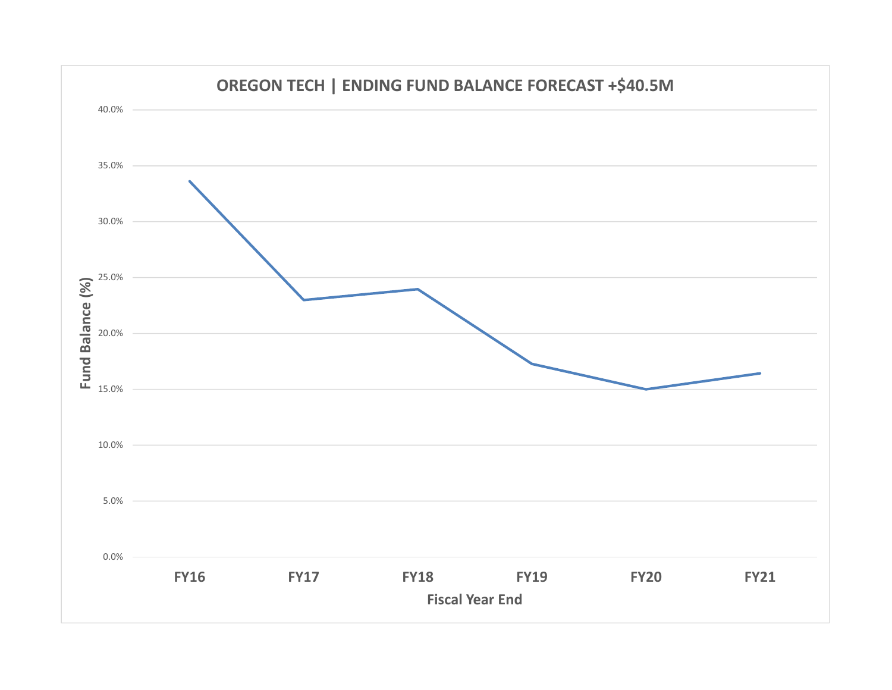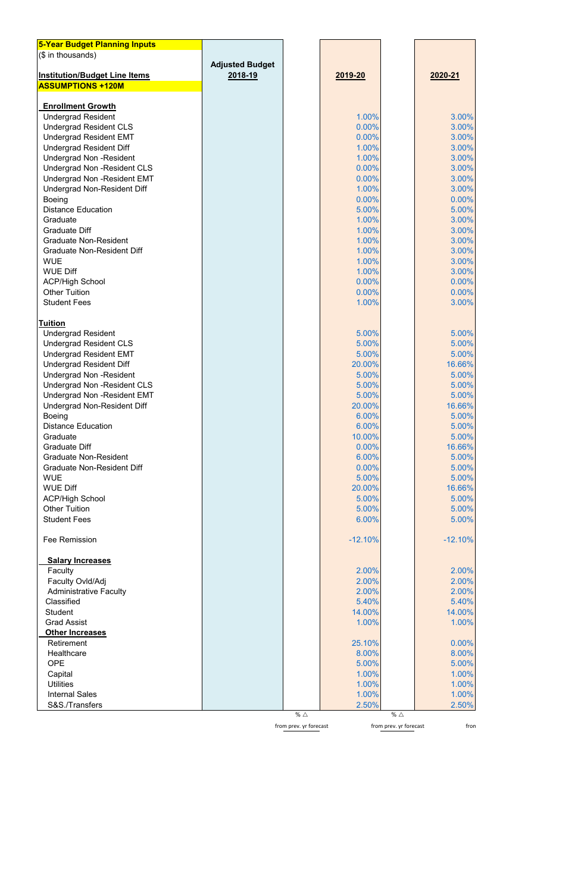| <b>5-Year Budget Planning Inputs</b>                               |                        |                        |                |                        |                |
|--------------------------------------------------------------------|------------------------|------------------------|----------------|------------------------|----------------|
| (\$ in thousands)                                                  |                        |                        |                |                        |                |
|                                                                    | <b>Adjusted Budget</b> |                        |                |                        |                |
| <b>Institution/Budget Line Items</b>                               | 2018-19                |                        | 2019-20        |                        | 2020-21        |
| <b>ASSUMPTIONS +120M</b>                                           |                        |                        |                |                        |                |
|                                                                    |                        |                        |                |                        |                |
| <b>Enrollment Growth</b>                                           |                        |                        |                |                        |                |
| <b>Undergrad Resident</b>                                          |                        |                        | 1.00%          |                        | 3.00%          |
| <b>Undergrad Resident CLS</b>                                      |                        |                        | 0.00%          |                        | 3.00%          |
| <b>Undergrad Resident EMT</b>                                      |                        |                        | 0.00%          |                        | 3.00%          |
| <b>Undergrad Resident Diff</b>                                     |                        |                        | 1.00%          |                        | 3.00%          |
| <b>Undergrad Non-Resident</b>                                      |                        |                        | 1.00%          |                        | 3.00%          |
| <b>Undergrad Non -Resident CLS</b>                                 |                        |                        | 0.00%          |                        | 3.00%          |
| <b>Undergrad Non -Resident EMT</b>                                 |                        |                        | 0.00%          |                        | 3.00%          |
| <b>Undergrad Non-Resident Diff</b>                                 |                        |                        | 1.00%          |                        | 3.00%          |
| Boeing                                                             |                        |                        | 0.00%          |                        | 0.00%          |
| <b>Distance Education</b>                                          |                        |                        | 5.00%          |                        | 5.00%          |
| Graduate                                                           |                        |                        | 1.00%          |                        | 3.00%          |
| <b>Graduate Diff</b><br><b>Graduate Non-Resident</b>               |                        |                        | 1.00%          |                        | 3.00%          |
|                                                                    |                        |                        | 1.00%          |                        | 3.00%          |
| <b>Graduate Non-Resident Diff</b>                                  |                        |                        | 1.00%          |                        | 3.00%          |
| <b>WUE</b><br><b>WUE Diff</b>                                      |                        |                        | 1.00%<br>1.00% |                        | 3.00%<br>3.00% |
| <b>ACP/High School</b>                                             |                        |                        | 0.00%          |                        | 0.00%          |
| <b>Other Tuition</b>                                               |                        |                        | 0.00%          |                        | 0.00%          |
| <b>Student Fees</b>                                                |                        |                        | 1.00%          |                        | 3.00%          |
|                                                                    |                        |                        |                |                        |                |
| <b>Tuition</b>                                                     |                        |                        |                |                        |                |
| <b>Undergrad Resident</b>                                          |                        |                        | 5.00%          |                        | 5.00%          |
| <b>Undergrad Resident CLS</b>                                      |                        |                        | 5.00%          |                        | 5.00%          |
| <b>Undergrad Resident EMT</b>                                      |                        |                        | 5.00%          |                        | 5.00%          |
|                                                                    |                        |                        | 20.00%         |                        | 16.66%         |
| <b>Undergrad Resident Diff</b>                                     |                        |                        | 5.00%          |                        | 5.00%          |
| <b>Undergrad Non-Resident</b>                                      |                        |                        | 5.00%          |                        | 5.00%          |
| <b>Undergrad Non -Resident CLS</b><br>Undergrad Non - Resident EMT |                        |                        | 5.00%          |                        | 5.00%          |
| <b>Undergrad Non-Resident Diff</b>                                 |                        |                        | 20.00%         |                        | 16.66%         |
| <b>Boeing</b>                                                      |                        |                        | 6.00%          |                        | 5.00%          |
| <b>Distance Education</b>                                          |                        |                        | 6.00%          |                        | 5.00%          |
| Graduate                                                           |                        |                        | 10.00%         |                        | 5.00%          |
| <b>Graduate Diff</b>                                               |                        |                        | 0.00%          |                        | 16.66%         |
| <b>Graduate Non-Resident</b>                                       |                        |                        | 6.00%          |                        | 5.00%          |
| <b>Graduate Non-Resident Diff</b>                                  |                        |                        | 0.00%          |                        | 5.00%          |
| <b>WUE</b>                                                         |                        |                        | 5.00%          |                        | 5.00%          |
| <b>WUE Diff</b>                                                    |                        |                        | 20.00%         |                        | 16.66%         |
| <b>ACP/High School</b>                                             |                        |                        | 5.00%          |                        | 5.00%          |
| <b>Other Tuition</b>                                               |                        |                        | 5.00%          |                        | 5.00%          |
| <b>Student Fees</b>                                                |                        |                        | 6.00%          |                        | 5.00%          |
|                                                                    |                        |                        |                |                        |                |
| Fee Remission                                                      |                        |                        | $-12.10%$      |                        | $-12.10%$      |
|                                                                    |                        |                        |                |                        |                |
| <b>Salary Increases</b>                                            |                        |                        |                |                        |                |
| Faculty                                                            |                        |                        | 2.00%          |                        | 2.00%          |
| Faculty Ovld/Adj                                                   |                        |                        | 2.00%          |                        | 2.00%          |
| <b>Administrative Faculty</b>                                      |                        |                        | 2.00%          |                        | 2.00%          |
| Classified                                                         |                        |                        | 5.40%          |                        | 5.40%          |
| <b>Student</b>                                                     |                        |                        | 14.00%         |                        | 14.00%         |
| <b>Grad Assist</b>                                                 |                        |                        | 1.00%          |                        | 1.00%          |
| Other Increases                                                    |                        |                        |                |                        |                |
| Retirement                                                         |                        |                        | 25.10%         |                        | 0.00%          |
| Healthcare                                                         |                        |                        | 8.00%          |                        | 8.00%          |
| <b>OPE</b>                                                         |                        |                        | 5.00%          |                        | 5.00%          |
| Capital                                                            |                        |                        | 1.00%          |                        | 1.00%          |
| <b>Utilities</b>                                                   |                        |                        | 1.00%          |                        | 1.00%          |
| <b>Internal Sales</b>                                              |                        |                        | 1.00%          |                        | 1.00%          |
| S&S./Transfers                                                     |                        |                        | 2.50%          |                        | 2.50%          |
|                                                                    |                        | % $\triangle$          |                | % $\triangle$          |                |
|                                                                    |                        | from prev. yr forecast |                | from prev. yr forecast | fron           |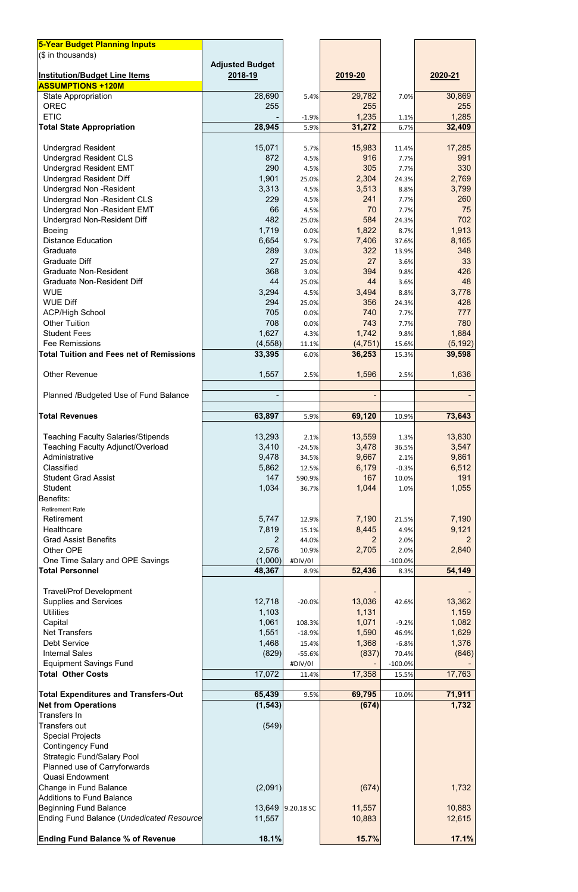| <b>5-Year Budget Planning Inputs</b>                             |                        |                   |                |               |                |
|------------------------------------------------------------------|------------------------|-------------------|----------------|---------------|----------------|
| (\$ in thousands)                                                |                        |                   |                |               |                |
|                                                                  | <b>Adjusted Budget</b> |                   |                |               |                |
| <b>Institution/Budget Line Items</b><br><b>ASSUMPTIONS +120M</b> | 2018-19                |                   | 2019-20        |               | 2020-21        |
| <b>State Appropriation</b>                                       | 28,690                 | 5.4%              | 29,782         | 7.0%          | 30,869         |
| <b>OREC</b>                                                      | 255                    |                   | 255            |               | 255            |
| <b>ETIC</b>                                                      |                        | $-1.9%$           | 1,235          | 1.1%          | 1,285          |
| <b>Total State Appropriation</b>                                 | 28,945                 | 5.9%              | 31,272         | 6.7%          | 32,409         |
|                                                                  |                        |                   |                |               |                |
| <b>Undergrad Resident</b>                                        | 15,071                 | 5.7%              | 15,983         | 11.4%         | 17,285         |
| <b>Undergrad Resident CLS</b>                                    | 872                    | 4.5%              | 916            | 7.7%          | 991            |
| <b>Undergrad Resident EMT</b>                                    | 290                    | 4.5%              | 305            | 7.7%          | 330            |
| <b>Undergrad Resident Diff</b>                                   | 1,901                  | 25.0%             | 2,304          | 24.3%         | 2,769          |
| <b>Undergrad Non-Resident</b>                                    | 3,313                  | 4.5%              | 3,513          | 8.8%          | 3,799          |
| <b>Undergrad Non -Resident CLS</b>                               | 229                    | 4.5%              | 241            | 7.7%          | 260            |
| <b>Undergrad Non - Resident EMT</b>                              | 66                     | 4.5%              | 70             | 7.7%          | 75             |
| <b>Undergrad Non-Resident Diff</b>                               | 482                    | 25.0%             | 584            | 24.3%         | 702            |
| <b>Boeing</b>                                                    | 1,719                  | 0.0%              | 1,822          | 8.7%          | 1,913          |
| <b>Distance Education</b>                                        | 6,654                  | 9.7%              | 7,406          | 37.6%         | 8,165          |
| Graduate                                                         | 289                    | 3.0%              | 322            | 13.9%         | 348            |
| <b>Graduate Diff</b>                                             | 27                     | 25.0%             | 27             | 3.6%          | 33             |
| <b>Graduate Non-Resident</b>                                     | 368<br>44              | 3.0%              | 394            | 9.8%          | 426<br>48      |
| <b>Graduate Non-Resident Diff</b><br><b>WUE</b>                  |                        | 25.0%             | 44             | 3.6%          |                |
| <b>WUE Diff</b>                                                  | 3,294<br>294           | 4.5%<br>25.0%     | 3,494<br>356   | 8.8%<br>24.3% | 3,778<br>428   |
| <b>ACP/High School</b>                                           | 705                    | 0.0%              | 740            |               | 777            |
| <b>Other Tuition</b>                                             | 708                    | 0.0%              | 743            | 7.7%<br>7.7%  | 780            |
| <b>Student Fees</b>                                              | 1,627                  | 4.3%              | 1,742          | 9.8%          | 1,884          |
| <b>Fee Remissions</b>                                            | (4, 558)               | 11.1%             | (4, 751)       | 15.6%         | (5, 192)       |
| <b>Total Tuition and Fees net of Remissions</b>                  | 33,395                 | 6.0%              | 36,253         | 15.3%         | 39,598         |
|                                                                  |                        |                   |                |               |                |
| <b>Other Revenue</b>                                             | 1,557                  | 2.5%              | 1,596          | 2.5%          | 1,636          |
|                                                                  |                        |                   |                |               |                |
| Planned /Budgeted Use of Fund Balance                            |                        |                   |                |               |                |
|                                                                  |                        |                   |                |               |                |
| <b>Total Revenues</b>                                            | 63,897                 | 5.9%              | 69,120         | 10.9%         | 73,643         |
|                                                                  |                        |                   |                |               |                |
| <b>Teaching Faculty Salaries/Stipends</b>                        | 13,293                 | 2.1%              | 13,559         | 1.3%          | 13,830         |
| <b>Teaching Faculty Adjunct/Overload</b>                         | 3,410                  | $-24.5%$          | 3,478          | 36.5%         | 3,547          |
| Administrative                                                   | 9,478                  | 34.5%             | 9,667          | 2.1%          | 9,861          |
| Classified                                                       | 5,862                  | 12.5%             | 6,179          | $-0.3%$       | 6,512          |
| <b>Student Grad Assist</b>                                       | 147                    | 590.9%            | 167            | 10.0%         | 191            |
| <b>Student</b>                                                   | 1,034                  | 36.7%             | 1,044          | 1.0%          | 1,055          |
| Benefits:                                                        |                        |                   |                |               |                |
| <b>Retirement Rate</b>                                           |                        |                   |                |               |                |
| Retirement                                                       | 5,747                  | 12.9%             | 7,190          | 21.5%         | 7,190          |
| Healthcare                                                       | 7,819                  | 15.1%             | 8,445          | 4.9%          | 9,121          |
| <b>Grad Assist Benefits</b>                                      | $\overline{2}$         | 44.0%             | $\overline{2}$ | 2.0%          | $\overline{2}$ |
| Other OPE                                                        | 2,576                  | 10.9%             | 2,705          | 2.0%          | 2,840          |
| One Time Salary and OPE Savings<br><b>Total Personnel</b>        | (1,000)                | #DIV/0!           |                | $-100.0%$     |                |
|                                                                  | 48,367                 | 8.9%              | 52,436         | 8.3%          | 54,149         |
| <b>Travel/Prof Development</b>                                   |                        |                   |                |               |                |
| <b>Supplies and Services</b>                                     | 12,718                 | $-20.0%$          | 13,036         | 42.6%         | 13,362         |
| <b>Utilities</b>                                                 | 1,103                  |                   | 1,131          |               | 1,159          |
| Capital                                                          | 1,061                  | 108.3%            | 1,071          | $-9.2%$       | 1,082          |
| <b>Net Transfers</b>                                             | 1,551                  | $-18.9%$          | 1,590          | 46.9%         | 1,629          |
| <b>Debt Service</b>                                              | 1,468                  | 15.4%             | 1,368          | $-6.8%$       | 1,376          |
| <b>Internal Sales</b>                                            | (829)                  | $-55.6%$          | (837)          | 70.4%         | (846)          |
| <b>Equipment Savings Fund</b>                                    |                        | #DIV/0!           |                | $-100.0%$     |                |
| <b>Total Other Costs</b>                                         | 17,072                 | 11.4%             | 17,358         | 15.5%         | 17,763         |
|                                                                  |                        |                   |                |               |                |
| <b>Total Expenditures and Transfers-Out</b>                      | 65,439                 | 9.5%              | 69,795         | 10.0%         | 71,911         |
| <b>Net from Operations</b>                                       | (1, 543)               |                   | (674)          |               | 1,732          |
| <b>Transfers In</b>                                              |                        |                   |                |               |                |
| <b>Transfers out</b>                                             | (549)                  |                   |                |               |                |
| <b>Special Projects</b>                                          |                        |                   |                |               |                |
| <b>Contingency Fund</b>                                          |                        |                   |                |               |                |
| <b>Strategic Fund/Salary Pool</b>                                |                        |                   |                |               |                |
| Planned use of Carryforwards                                     |                        |                   |                |               |                |
| <b>Quasi Endowment</b>                                           |                        |                   |                |               |                |
| Change in Fund Balance                                           | (2,091)                |                   | (674)          |               | 1,732          |
| <b>Additions to Fund Balance</b>                                 |                        |                   |                |               |                |
| <b>Beginning Fund Balance</b>                                    |                        | 13,649 9.20.18 SC | 11,557         |               | 10,883         |
| <b>Ending Fund Balance (Undedicated Resource</b>                 | 11,557                 |                   | 10,883         |               | 12,615         |
| <b>Ending Fund Balance % of Revenue</b>                          | 18.1%                  |                   | 15.7%          |               | 17.1%          |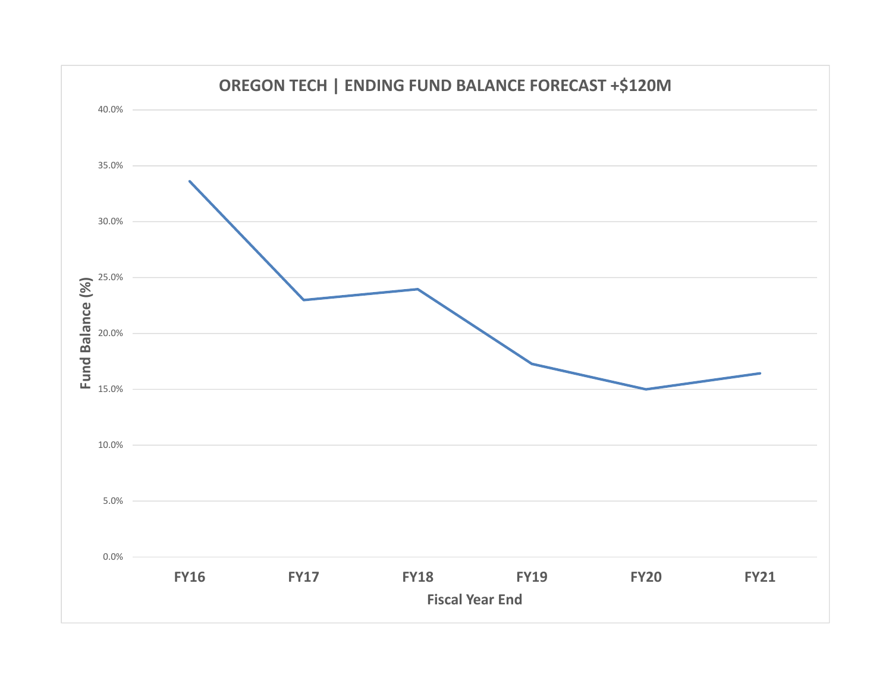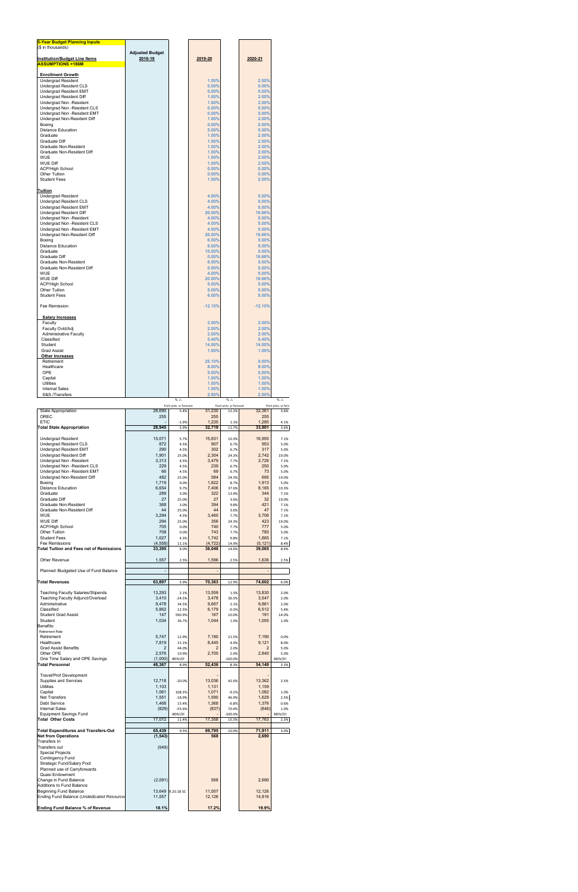| <b>5-Year Budget Planning Inputs</b><br>(\$ in thousands)                                        |                                   |                                |                                  |                                 |                             |                                                         |
|--------------------------------------------------------------------------------------------------|-----------------------------------|--------------------------------|----------------------------------|---------------------------------|-----------------------------|---------------------------------------------------------|
| <b>Institution/Budget Line Items</b>                                                             | <b>Adjusted Budget</b><br>2018-19 |                                | <u>2019-20</u>                   |                                 | 2020-21                     |                                                         |
| <b>ASSUMPTIONS +186M</b>                                                                         |                                   |                                |                                  |                                 |                             |                                                         |
| <b>Enrollment Growth</b><br>Undergrad Resident                                                   |                                   |                                | 1.00%                            |                                 | 2.00%                       |                                                         |
| Undergrad Resident CLS<br>Undergrad Resident EMT                                                 |                                   |                                | 0.00%<br>0.00%                   |                                 | 0.00%<br>0.00%              |                                                         |
| Undergrad Resident Diff<br>Undergrad Non -Resident                                               |                                   |                                | 1.00%<br>1.00%<br>0.00%          |                                 | 2.00%<br>2.00%<br>0.00%     |                                                         |
| Undergrad Non -Resident CLS<br>Undergrad Non -Resident EMT                                       |                                   |                                | 0.00%<br>1.00%                   |                                 | 0.00%                       |                                                         |
| Undergrad Non-Resident Diff<br>Boeina<br><b>Distance Education</b>                               |                                   |                                | 0.00%<br>5.00%                   |                                 | 2.00%<br>0.00%<br>5.00%     |                                                         |
| Graduate<br>Graduate Diff                                                                        |                                   |                                | 1.00%<br>1.00%                   |                                 | 2.00%<br>2.00%              |                                                         |
| Graduate Non-Resident<br>Graduate Non-Resident Diff                                              |                                   |                                | 1.00%<br>1.00%                   |                                 | 2.00%<br>2.00%              |                                                         |
| <b>WUE</b><br><b>WUE Diff</b>                                                                    |                                   |                                | 1.00%<br>1.00%                   |                                 | 2.00%<br>2.00%              |                                                         |
| <b>ACP/High School</b><br>Other Tuition                                                          |                                   |                                | 0.00%<br>0.00%                   |                                 | 0.00%<br>0.00%              |                                                         |
| <b>Student Fees</b>                                                                              |                                   |                                | 1.00%                            |                                 | 2.00%                       |                                                         |
| Tuition<br><b>Undergrad Resident</b>                                                             |                                   |                                | 4.00%                            |                                 | 5.00%<br>5.00%              |                                                         |
| Undergrad Resident CLS<br>Undergrad Resident EMT<br>Undergrad Resident Diff                      |                                   |                                | 4.00%<br>4.00%<br>20.00%         |                                 | 5.00%<br>16.66%             |                                                         |
| Undergrad Non -Resident<br>Undergrad Non -Resident CLS                                           |                                   |                                | 4.00%<br>4.00%                   |                                 | 5.00%<br>5.00%              |                                                         |
| Undergrad Non -Resident EMT<br>Undergrad Non-Resident Diff                                       |                                   |                                | 4.00%<br>20.00%                  |                                 | 5.00%<br>16.66%             |                                                         |
| Boeing<br><b>Distance Education</b>                                                              |                                   |                                | 6.00%<br>6.00%                   |                                 | 5.00%<br>5.00%              |                                                         |
| Graduate<br><b>Graduate Diff</b>                                                                 |                                   |                                | 10.00%<br>0.00%                  |                                 | 5.00%<br>16.66%             |                                                         |
| Graduate Non-Resident<br>Graduate Non-Resident Diff                                              |                                   |                                | 6.00%<br>0.00%                   |                                 | 5.00%<br>5.00%              |                                                         |
| <b>WUE</b><br><b>WUE Diff</b>                                                                    |                                   |                                | 4.00%<br>20.00%                  |                                 | 5.00%<br>16.66%             |                                                         |
| <b>ACP/High School</b><br>Other Tuition                                                          |                                   |                                | 5.00%<br>5.00%                   |                                 | 5.00%<br>5.00%              |                                                         |
| <b>Student Fees</b><br>Fee Remission                                                             |                                   |                                | 6.00%<br>$-12.10%$               |                                 | 5.00%<br>$-12.10%$          |                                                         |
| <b>Salary Increases</b>                                                                          |                                   |                                |                                  |                                 |                             |                                                         |
| Faculty<br>Faculty Ovld/Adj                                                                      |                                   |                                | 2.00%<br>2.00%                   |                                 | 2.00%<br>2.00%              |                                                         |
| Administrative Faculty<br>Classified                                                             |                                   |                                | 2.00%<br>5.40%                   |                                 | 2.00%<br>5.40%              |                                                         |
| Student<br>Grad Assist                                                                           |                                   |                                | 14.00%<br>1.00%                  |                                 | 14.00%<br>1.00%             |                                                         |
| <b>Other Increases</b><br>Retirement<br>Healthcare                                               |                                   |                                | 25.10%<br>8.00%                  |                                 | 0.00%<br>8.00%              |                                                         |
| OPE<br>Capital                                                                                   |                                   |                                | 5.00%<br>1.00%                   |                                 | 5.00%<br>1.00%              |                                                         |
| <b>Utilities</b><br><b>Internal Sales</b>                                                        |                                   |                                | 1.00%<br>1.00%                   |                                 | 1.00%<br>1.00%              |                                                         |
| S&S./Transfers                                                                                   |                                   | % $\triangle$                  | 2.50%                            | % $\triangle$                   | 2.50%                       | % $\triangle$                                           |
| State Appropriation<br>OREC                                                                      | 28,690<br>255                     | from prev. yr forecast<br>5.4% | 31,230<br>255                    | from prev. yr forecast<br>12.2% | 32,361<br>255               | from prev. yr fore<br>3.6%                              |
|                                                                                                  |                                   |                                |                                  |                                 |                             |                                                         |
| <b>ETIC</b><br><b>Total State Appropriation</b>                                                  | 28,945                            | $-1.9%$<br>5.9%                | 1,235<br>32,719                  | 1.1%<br>11.7%                   | 1,285<br>33,901             | 4.1%<br>3.6%                                            |
| <b>Undergrad Resident</b>                                                                        | 15,071                            | 5.7%                           | 15,831                           | 10.3%                           | 16,955                      | 7.1%                                                    |
| Undergrad Resident CLS<br>Undergrad Resident EMT                                                 | 872<br>290                        | 4.5%<br>4.5%                   | 907<br>302                       | 6.7%<br>6.7%                    | 953<br>317                  | 5.0%<br>5.0%                                            |
| Undergrad Resident Diff<br>Undergrad Non -Resident                                               | 1,901<br>3,313                    | 25.0%<br>4.5%                  | 2,304<br>3,479                   | 24.3%<br>7.7%                   | 2,742<br>3,726              | 19.0%<br>7.1%                                           |
| Undergrad Non -Resident CLS<br>Undergrad Non -Resident EMT                                       | 229<br>66<br>482                  | 4.5%<br>4.5%<br>25.0%          | 239<br>69<br>584                 | 6.7%<br>6.7%<br>24.3%           | 250<br>73<br>695            | 5.0%<br>5.0%                                            |
| Undergrad Non-Resident Diff<br>Boeing<br><b>Distance Education</b>                               | 1,719<br>6,654                    | 0.0%<br>9.7%                   | 1,822<br>7,406                   | 8.7%<br>37.6%                   | 1,913<br>8,165              | 5.0%<br>10.3%                                           |
| Graduate<br>Graduate Diff                                                                        | 289<br>27                         | 3.0%<br>25.0%                  | 322<br>27                        | 13.9%<br>3.6%                   | 344<br>32                   | 7.1%                                                    |
| Graduate Non-Resident<br>Graduate Non-Resident Diff                                              | 368<br>44                         | 3.0%<br>25.0%                  | 394<br>44                        | 9.8%<br>3.6%                    | 421<br>47                   | 7.1%                                                    |
| <b>WUE</b><br><b>WUE Diff</b>                                                                    | 3,294<br>294                      | 4.5%<br>25.0%                  | 3,460<br>356                     | 7.7%<br>24.3%                   | 3,706<br>423                | 7.1%                                                    |
| <b>ACP/High School</b><br>Other Tuition                                                          | 705<br>708                        | 0.0%<br>0.0%                   | 740<br>743                       | 7.7%<br>7.7%                    | 777<br>780                  | 5.0%                                                    |
| <b>Student Fees</b><br>Fee Remissions<br><b>Total Tuition and Fees net of Remissions</b>         | 1,627<br>(4, 558)<br>33,395       | 4.3%<br>11.1%<br>6.0%          | 1,742<br>(4, 722)<br>36,048      | 9.8%<br>14.9%<br>14.6%          | 1,865<br>(5, 121)<br>39,065 | 8.4%<br>8.4%                                            |
| Other Revenue                                                                                    | 1,557                             | 2.5%                           | 1,596                            | 2.5%                            | 1,636                       | 19.0%<br>19.0%<br>7.1%<br>19.0%<br>5.0%<br>7.1%<br>2.5% |
| Planned /Budgeted Use of Fund Balance                                                            | $\blacksquare$                    |                                |                                  |                                 | ÷,                          |                                                         |
| <b>Total Revenues</b>                                                                            | 63,897                            | 5.9%                           | 70,363                           | 12.9%                           | 74,602                      |                                                         |
| <b>Teaching Faculty Salaries/Stipends</b><br>Teaching Faculty Adjunct/Overload                   | 13,293<br>3,410                   | 2.1%<br>$-24.5%$               | 13,559<br>3.478                  | 1.3%<br>36.5%                   | 13,830<br>3,547             | 2.0%                                                    |
| Administrative<br>Classified                                                                     | 9,478<br>5,862                    | 34.5%<br>12.5%                 | 9,667<br>6,179                   | 2.1%<br>$-0.3%$                 | 9,861<br>6,512              |                                                         |
| <b>Student Grad Assist</b><br>Student                                                            | 147<br>1,034                      | 590.9%<br>36.7%                | 167<br>1,044                     | 10.0%<br>1.0%                   | 191<br>1,055                | 14.0%<br>1.0%                                           |
| Benefits:<br><b>Retirement Rate</b>                                                              |                                   |                                |                                  |                                 |                             | 6.0%<br>2.0%<br>2.0%<br>5.4%                            |
| Retirement<br>Healthcare<br><b>Grad Assist Benefits</b>                                          | 5,747<br>7,819<br>2               | 12.9%<br>15.1%<br>44.0%        | 7,190<br>8,445<br>$\overline{2}$ | 21.5%<br>4.9%<br>2.0%           | 7,190<br>9,121<br>2         | 0.0%<br>8.0%<br>5.0%                                    |
| Other OPE<br>One Time Salary and OPE Savings                                                     | 2,576<br>(1,000)                  | 10.9%<br>#DIV/0!               | 2,705                            | 2.0%<br>$-100.0%$               | 2,840                       | 5.0%<br>#DIV/0!                                         |
| Total Personnel                                                                                  | 48,367                            | 8.9%                           | 52,436                           | 8.3%                            | 54,149                      | 3.3%                                                    |
| <b>Travel/Prof Development</b><br>Supplies and Services                                          | 12,718                            | $-20.0%$                       | 13,036                           | 42.6%                           | 13,362                      | 2.5%                                                    |
| Utilities<br>Capital<br>Net Transfers                                                            | 1,103<br>1,061<br>1,551           | 108.3%<br>$-18.9%$             | 1,131<br>1,071<br>1,590          | $-9.2%$<br>46.9%                | 1,159<br>1,082<br>1,629     | 1.0%                                                    |
| Debt Service<br><b>Internal Sales</b>                                                            | 1,468<br>(829)                    | 15.4%<br>$-55.6%$              | 1,368<br>(837)                   | $-6.8%$<br>70.4%                | 1,376<br>(846)              | 2.5%<br>0.6%<br>1.0%                                    |
| <b>Equipment Savings Fund</b><br><b>Total Other Costs</b>                                        | 17,072                            | #DIV/0!<br>11.4%               | 17,358                           | $-100.0%$<br>15.5%              | 17,763                      | #DIV/0!                                                 |
| <b>Total Expenditures and Transfers-Out</b>                                                      | 65,439                            | 9.5%                           | 69,795                           | 10.0%                           | 71,911                      |                                                         |
| <b>Net from Operations</b><br>Transfers In                                                       | (1, 543)                          |                                | 568                              |                                 | 2,690                       | 2.3%<br>3.0%                                            |
| Transfers out<br><b>Special Projects</b><br>Contingency Fund                                     | (549)                             |                                |                                  |                                 |                             |                                                         |
| Strategic Fund/Salary Pool<br>Planned use of Carryforwards                                       |                                   |                                |                                  |                                 |                             |                                                         |
| Quasi Endowment<br>Change in Fund Balance                                                        | (2,091)                           |                                | 568                              |                                 | 2,690                       |                                                         |
| Additions to Fund Balance<br>Beginning Fund Balance<br>Ending Fund Balance (Undedicated Resource | 13,649<br>11,557                  | 9.20.18 SC                     | 11,557<br>12,126                 |                                 | 12,126<br>14,816            |                                                         |